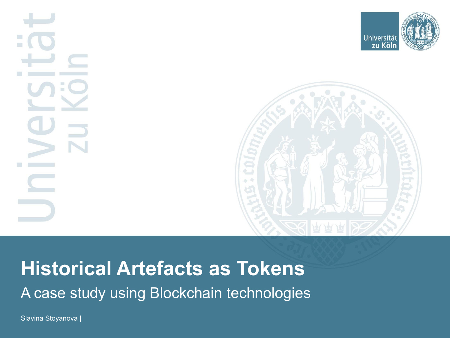



# **Historical Artefacts as Tokens** A case study using Blockchain technologies

Slavina Stoyanova |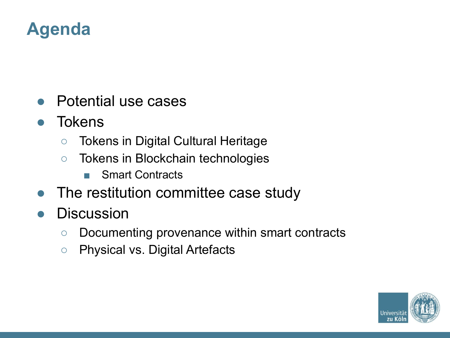## **Agenda**

- **Potential use cases**
- **Tokens** 
	- Tokens in Digital Cultural Heritage
	- Tokens in Blockchain technologies
		- Smart Contracts
- The restitution committee case study
- Discussion
	- Documenting provenance within smart contracts
	- Physical vs. Digital Artefacts

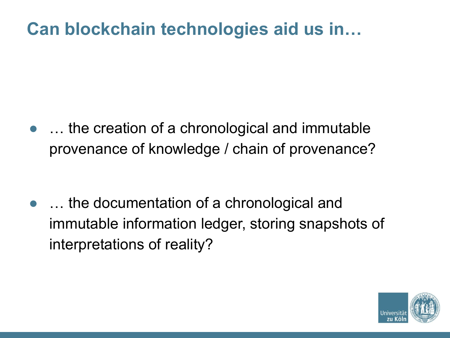## **Can blockchain technologies aid us in…**

• ... the creation of a chronological and immutable provenance of knowledge / chain of provenance?

• ... the documentation of a chronological and immutable information ledger, storing snapshots of interpretations of reality?

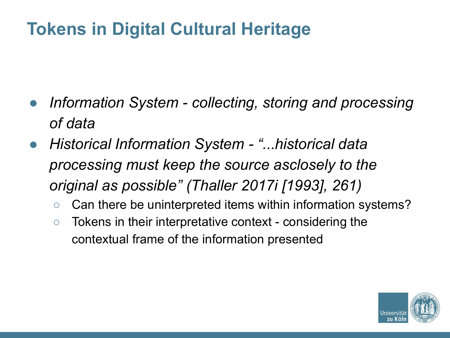# **Tokens in Digital Cultural Heritage**

- *Information System collecting, storing and processing of data*
- *● Historical Information System "...historical data processing must keep the source asclosely to the original as possible" (Thaller 2017i [1993], 261)*
	- Can there be uninterpreted items within information systems?
	- Tokens in their interpretative context considering the contextual frame of the information presented

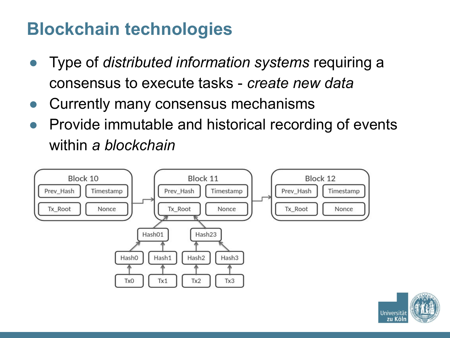## **Blockchain technologies**

- Type of *distributed information systems* requiring a consensus to execute tasks - *create new data*
- Currently many consensus mechanisms
- Provide immutable and historical recording of events within *a blockchain*



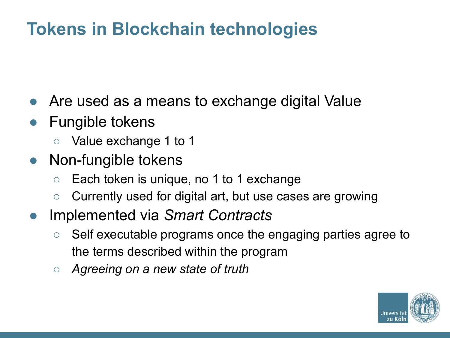# **Tokens in Blockchain technologies**

- Are used as a means to exchange digital Value
- **Fungible tokens** 
	- Value exchange 1 to 1
- Non-fungible tokens
	- Each token is unique, no 1 to 1 exchange
	- Currently used for digital art, but use cases are growing
- Implemented via *Smart Contracts*
	- Self executable programs once the engaging parties agree to the terms described within the program
	- *○ Agreeing on a new state of truth*

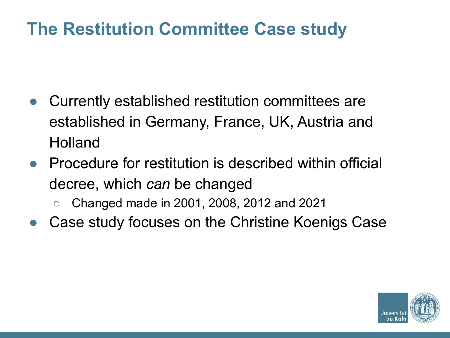## **The Restitution Committee Case study**

- Currently established restitution committees are established in Germany, France, UK, Austria and **Holland**
- Procedure for restitution is described within official decree, which *can* be changed
	- Changed made in 2001, 2008, 2012 and 2021
- Case study focuses on the Christine Koenigs Case

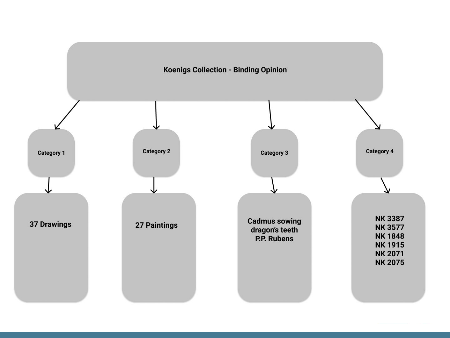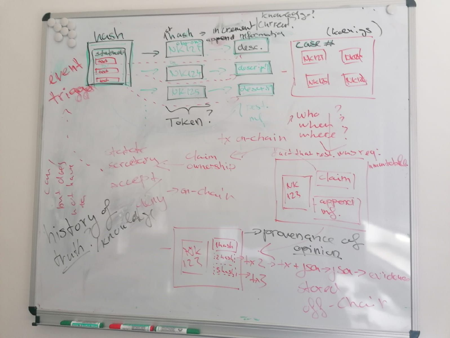knowless. <u>Incusta</u> thash append reformation (k (kalini)s desc. statuoli Tuat  $N<sub>K</sub>123$  $\sqrt{4\alpha t}$ event  $doscr$  $+$ cy+ 1016124 [NK13] Tricidas  $T_{\text{ext}}$  $des4.1$ **UIL 125** TES<sup>1</sup>. 2 who  $m$ TOKED when tx on-chain where tetate act that rost, who req. Claim Inministrial ownership cy ccept  $clain$ NK -an-chain 123 Ristory of Real append ravenance of  $1hash$ opinion  $3h-3h-2h-2$  $24 > 81$  idence Stored  $T_{\rm eff}$ **Construction Marian Marian Adam**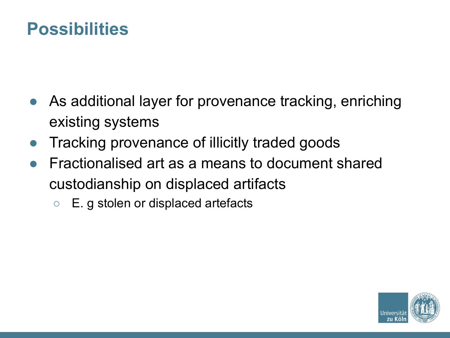#### **Possibilities**

- As additional layer for provenance tracking, enriching existing systems
- Tracking provenance of illicitly traded goods
- Fractionalised art as a means to document shared custodianship on displaced artifacts
	- E. g stolen or displaced artefacts